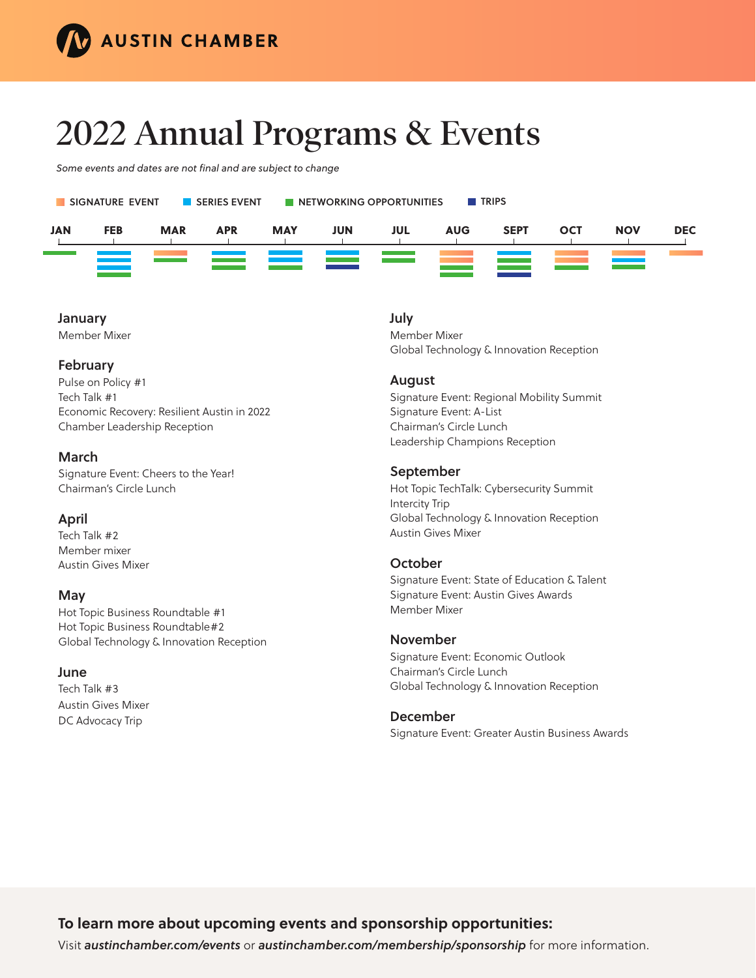

# **2022 Annual Programs & Events**

*Some events and dates are not final and are subject to change*



#### January

Member Mixer

# February

Pulse on Policy #1 Tech Talk #1 Economic Recovery: Resilient Austin in 2022 Chamber Leadership Reception

# March

Signature Event: Cheers to the Year! Chairman's Circle Lunch

# April

Tech Talk #2 Member mixer Austin Gives Mixer

# May

Hot Topic Business Roundtable #1 Hot Topic Business Roundtable#2 Global Technology & Innovation Reception

# June

Tech Talk #3 Austin Gives Mixer DC Advocacy Trip

# July

Member Mixer Global Technology & Innovation Reception

#### August

Signature Event: Regional Mobility Summit Signature Event: A-List Chairman's Circle Lunch Leadership Champions Reception

#### September

Hot Topic TechTalk: Cybersecurity Summit Intercity Trip Global Technology & Innovation Reception Austin Gives Mixer

# **October**

Signature Event: State of Education & Talent Signature Event: Austin Gives Awards Member Mixer

#### November

Signature Event: Economic Outlook Chairman's Circle Lunch Global Technology & Innovation Reception

#### December

Signature Event: Greater Austin Business Awards

# **To learn more about upcoming events and sponsorship opportunities:**

Visit *austinchamber.com/events* or *austinchamber.com/membership/sponsorship* for more information.